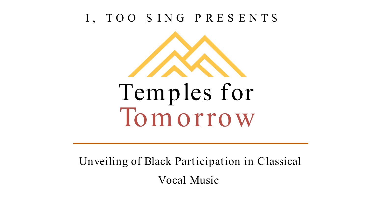Unveiling of Black Participation in Classical Vocal Music



# Tom orrow Temples for

#### I, TOO S ING P RES ENTS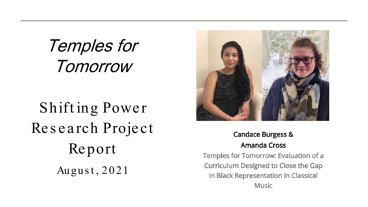Temples for Tomorrow





Temples for Tomorrow: Evaluation of a Curriculum Designed to Close the Gap in Black Representation in Classical **Music** 

#### **Candace Burgess & Amanda Cross**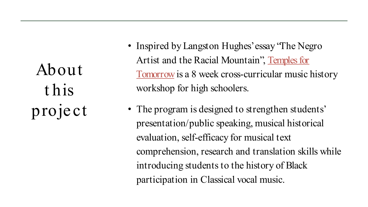### About t his project

- Inspired by Langston Hughes' essay "The Negro" Artist and the Racial Mountain", Temples for Tomorrow is a 8 week cross-curricular music history workshop for high schoolers.
- The program is designed to strengthen students' presentation/public speaking, musical historical evaluation, self-efficacy for musical text comprehension, research and translation skills while introducing students to the history of Black participation in Classical vocal music.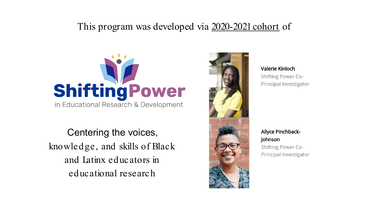#### This program was developed via 2020-2021 cohort of



Centering the voices, knowledge, and skills of Black and Latinx educators in educational research





#### Valerie Kinloch

Shifting Power Co-Principal Investigator

**Allyce Pinchback-**Johnson Shifting Power Co-Principal Investigator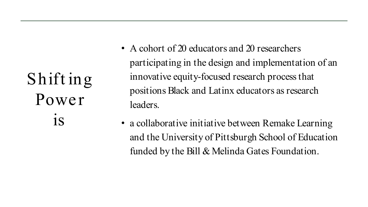### Shift ing Power **is**

- A cohort of 20 educators and 20 researchers participating in the design and implementation of an innovative equity-focused research process that positions Black and Latinx educators as research leaders.
- a collaborative initiative between Remake Learning and the University of Pittsburgh School of Education funded by the Bill & Melinda Gates Foundation.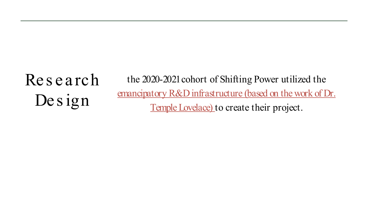### Research Design

the 2020-2021 cohort of Shifting Power utilized the emancipatory R&D infrastructure (based on the work of Dr. Temple Lovelace) to create their project.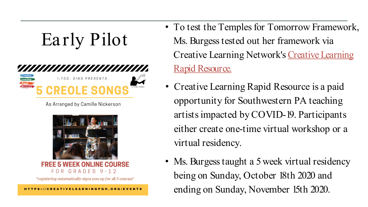

As Arranged by Camille Nickerson



#### **INE COLIRSE** GRADES 9-12  $F \cap R$

\*registering automatically signs you up for all 5 courses\*

• To test the Temples for Tomorrow Framework, Ms. Burgess tested out her framework via Creative Learning Network's Creative Learning

• Ms. Burgess taught a 5 week virtual residency being on Sunday, October 18th 2020 and ending on Sunday, November 15th 2020.

• Creative Learning Rapid Resource is a paid opportunity for Southwestern PA teaching artists impacted by COVID-19. Participants either create one-time virtual workshop or a

- Rapid Resource.
- virtual residency.
- 

CREATIVELEARNINGPGH.ORG/EVENTS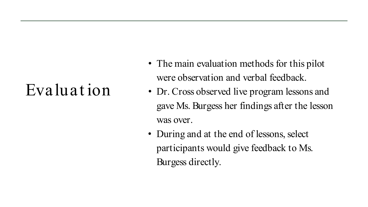#### Evaluat ion

- The main evaluation methods for this pilot were observation and verbal feedback.
- Dr. Cross observed live program lessons and gave Ms. Burgess her findings after the lesson was over.
- During and at the end of lessons, select participants would give feedback to Ms. Burgess directly.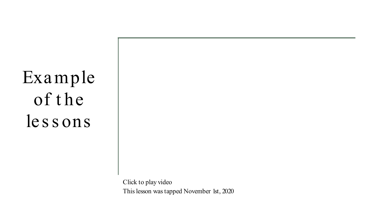Click to play video This lesson was tapped November 1st, 2020

### Example of the les s ons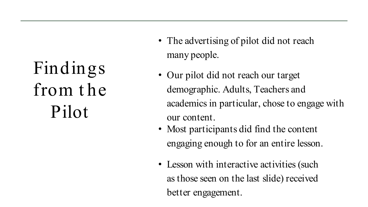## Findings from t he Pilot

- many people.
- Our pilot did not reach our target demographic. Adults, Teachers and academics in particular, chose to engage with
	- our content.
- Most participants did find the content engaging enough to for an entire lesson.
- Lesson with interactive activities (such as those seen on the last slide) received better engagement.

• The advertising of pilot did not reach